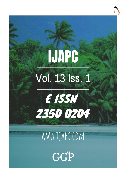# **IJAPC** Vol. 13 Iss. 1



# WWW.IJAPC.COM

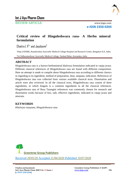

REVIEW ARTICLE www.ijapc.com

**e-ISSN 2350-0204**

# **Critical review of Hinguleshwara rasa- A Herbo mineral formulation**

 $Chaitra L V^{1*}$  and Jayalaxmi $^2$ 

<sup>1</sup>Dept of RSBK, Ramakrishna Ayurvedic Medical College Hospital and Research Center, Bangalore KA, India

2Sri Sidharameshwar Ayurvedic Medical College, Naubad Bidar, Karnataka, India

### **ABSTRACT**

Hinguleshwara rasa is a known herbomineral khalveya formulation indicated in vataja jwara. Different classical references of Hinguleshwara rasa are found with different composition. Here an attempt is made to compile about Hinguleshwara rasa according to different classics in regarding to its ingredient, method of preparation, dose, anupana, indication. References of Hinguleshwara rasa was collected from various available classical texts. Dissertation and article were also reviewed. In all the classical texts, Hinguleshwara rasa consist of three ingredients, in which hingula is a common ingredients in all the classical references. Hinguleshwara rasa of Rasa Tarangini references was commonly chosen for research and dissertation works because of less, safe, effective ingredients, indicated in vataja jwara and amavata.

#### **KEYWORDS**

*Khalveya rasayana, Hinguleshwara rasa*



Received 29/05/20 Accepted 21/06/2020 Published 10/07/2020

 $\overline{\phantom{a}}$  , and the contribution of the contribution of the contribution of the contribution of the contribution of the contribution of the contribution of the contribution of the contribution of the contribution of the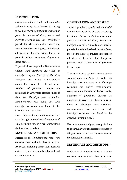

#### **INTRODUCTION**

*Jwara* is *pradhana vyadhi* and *anubandhi vedana* in many of the disease. According to *acharya charaka, pratyatma lakshana* of *jwara* is *santapa* of *deha*, *manas* and *indriyas*. *Jwara* is clinically correlated to pyrexia. Pyrexia is the Greek term for fever, most of the diseases, injuries, infection of all kinds of bacteria, viral, fungal or parasitic tends to cause fever of greater or lesser degree.

*Yogas* which are prepared in *khalwa yantra* without *agni samskara* are called as *kharaliya rasayana*. Most of the *kharaliya rasayana* are potent metalo-mineral combinations with selected herbal media. Numbers of *jwarahara* dravyas are mentioned in Ayurvedic classics, most of them are *kharaliya rasa aushadhis*. *Hinguleshwara rasa* being one such *kharaliya rasayana was* found to be effective in *vataja jwara<sup>1</sup>* .

Hence in present study an attempt is done to go through various classical references of *Hinguleshwara rasa* in order to understand the formulation in detail.

#### **MATERIALS AND METHODS**

References of *Hinguleshwara rasa* were collected from available classical texts of Ayurveda, including dissertation, research article etc, and are orderly tabulated and critically reviewed.

 $\mathcal{L}_\mathcal{L}$  , and the contribution of the contribution of the contribution of the contribution of the contribution of the contribution of the contribution of the contribution of the contribution of the contribution of

#### **OBSERVATION AND RESULT**

*Jwara* is *pradhana vyadhi* and *anubandhi vedana* in many of the disease. According to *acharya charaka, pratyatma lakshana* of *jwara* is *santapa* of *deha*, *manas* and *indriyas*. *Jwara* is clinically correlated to pyrexia. Pyrexia is the Greek term for fever, most of the diseases, injuries, infection of all kinds of bacteria, viral, fungal or parasitic tends to cause fever of greater or lesser degree.

*Yogas* which are prepared in *khalwa yantra* without *agni samskara* are called as *kharaliya rasayana*. Most of the *kharaliya rasayana* are potent metalo-mineral combinations with selected herbal media. Numbers of *jwarahara* dravyas are mentioned in Ayurvedic classics, most of them are *kharaliya rasa aushadhis*. *Hinguleshwara rasa* being one such *kharaliya rasayana was* found to be effective in *vataja jwara<sup>1</sup>* .

Hence in present study an attempt is done to go through various classical references of *Hinguleshwara rasa* in order to understand the formulation in detail.

#### **MATERIALS AND METHODS:-**

References of *Hinguleshwara rasa* were collected from available classical texts of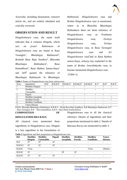

Ayurveda, including dissertation, research article etc, and are orderly tabulated and critically reviewed.

#### **OBSERVATION AND RESULT**

*Hinguleshwara rasa,* the name itself indicates that it contains *Hingula*, which acts on  $iwar^2$ . References of *Hinguleshwara rasa* are found in Rasa Tarangini<sup>1</sup>.  $B$ *haishaiva Rathnavali<sup>3</sup>*. *Bruhath Rasa Raja Sundara<sup>4</sup>* , *Bharatha Bhaishajya Rathnakara<sup>5</sup> , Rasa Kamadhenu<sup>6</sup> , Rasa Rathna Samucchaya*<sup>7</sup> and  $AFI^8$ quoted the reference of *Bhaishajya Rathnavali*. In *Bhaishajya* 

*Rathnavali*, *Hinguleshwara rasa* and *Bruhat Hinguleshwara rasa* is mentioned, where as in *Bharatha Bhaishajya Rathnakara* there are three reference of *Hinguleshwara rasa* as *Prathama Hinguleshwara rasa*, *Dwitiya Hinguleshwara rasa*, *Ttritiya Hinguleshwara rasa*, in *Rasa Tarangini Hinguleshwara rasa* and *Sri Hinguleshwara rasa*<sup>9</sup> and in *Rasa Rathna samucchaya*, acharya has explained in the name of *Bruhat Jwarahnkusha rasa*, in bracket mentioned *Hinguleshwara rasa.* (Table 1).

**Table 1** Names of Hinguleshwara rasa from various texts

|       | ັ                  |                          |                      |                          |                          |                       |                  |         |                    |
|-------|--------------------|--------------------------|----------------------|--------------------------|--------------------------|-----------------------|------------------|---------|--------------------|
| Sl.no | Ingredients        | $B.R^3$                  | B.R.R.S <sup>4</sup> | $B.B.R(1)^5$             | $B.B.R(2)^6$             | B.B.R(3) <sup>7</sup> | R.T <sup>1</sup> | $R.K^8$ | R.R.S <sup>9</sup> |
|       | Shodhita Hingula   |                          |                      |                          |                          |                       |                  |         |                    |
|       | Shodhita           |                          |                      | $\overline{\phantom{a}}$ | $\overline{\phantom{0}}$ |                       |                  |         |                    |
|       | Vatsanabha         |                          |                      |                          |                          |                       |                  |         |                    |
|       | Pippali            |                          |                      | -                        | $\overline{\phantom{0}}$ |                       |                  |         |                    |
|       | Shodhita Jayaphala | $\overline{\phantom{a}}$ |                      | $\overline{\phantom{a}}$ |                          |                       |                  |         |                    |
|       | Shodhita Parada    | $\overline{\phantom{0}}$ |                      | $\overline{\phantom{a}}$ | +                        |                       |                  |         |                    |
|       | Shodhita Gandhaka  | $\sim$                   |                      | $^{+}$                   |                          |                       |                  |         |                    |
|       | Tamra bhasma       |                          |                      |                          |                          |                       |                  |         |                    |

B.B.R- Bharatha Bhaishajya Rathnakara, B.R.R.S – Bruth Rasa Raja Sundhara, B.R-Bhaishajya Rathnavali, R.T – Rasa Tarangini, R.K – Rasa kamadhenu, R.R.S –Rasa Ratna Samuchchaya

# **COMPOSITION OF HINGULESHWARA RASA**

All classical texts mentioned three ingredients in Hinguleshwra rasa. Hingula is a key ingredient in the formulation of Hinguleshwara rasa in all the classical reference. Details of ingredients and their proportions mentioned in table 2. Details of bhavana dravya are mentioned in table 3.

#### **Table 2** Ingredients and their proportions in Hinguleshwara rasa

| <b>Ref</b> | Shodhita<br><b>Hingula</b> | <b>Shodhita</b><br>Vatsanabha | <b>Pippali</b> | Shodhita<br>Jayaphala | <b>Shodhita</b><br>Parada | <b>Shodhita</b><br>Gandhaka | <b>Tamra</b><br>bhasma |
|------------|----------------------------|-------------------------------|----------------|-----------------------|---------------------------|-----------------------------|------------------------|
| B.R        | 1P                         | 1 P                           | 1P             |                       |                           |                             |                        |
| B.R.R.S    | 1P                         | 1 P                           | 1P             | -                     | $\overline{\phantom{0}}$  | -                           |                        |
| B.B.R1     | 1Tola                      | -                             | -              |                       |                           | 1Tola                       | 2Masha                 |
| B.B.R2     | 1P                         |                               |                | 3P                    | 1 P                       |                             |                        |
| B.B.R3     | 1 P                        | 1P                            | 1 P            |                       |                           | ۰                           |                        |

 $\mathcal{L}_\mathcal{L}$  , and the contribution of the contribution of the contribution of the contribution of the contribution of the contribution of the contribution of the contribution of the contribution of the contribution of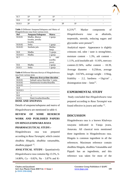

| R.T      | 1P | 1 D                      |    | $\overline{\phantom{0}}$ | $\overline{\phantom{0}}$ | $\overline{\phantom{a}}$ | $\sim$                   |
|----------|----|--------------------------|----|--------------------------|--------------------------|--------------------------|--------------------------|
| T<br>R.K | 1P | 1 P                      | 1P | $\sim$                   | <b>Service Contracts</b> | $\sim$                   | $\overline{\phantom{0}}$ |
| R.R.S    | 2P | <b>Contract Contract</b> |    |                          | 1 D                      | $\sim$ $-$               | $\overline{\phantom{a}}$ |

**Table 3** Different Anupana/Sahapana and Matra of Hinguleshwara rasa from various texts

| Ref     | Anupana/Sahapana | <b>Matra</b>        |  |  |
|---------|------------------|---------------------|--|--|
| B.B.R1  | Madhu, dhanya    | 2 gunja             |  |  |
|         | kwatha, jeeraka  |                     |  |  |
|         | kwatha           |                     |  |  |
| B.B.R2  | Setha            | 1 gunja             |  |  |
| B.B.R3  | Seethala jala    | Mulika              |  |  |
|         |                  | beeja               |  |  |
| B.R     | Madhu            | $\frac{1}{2}$ gunja |  |  |
| B.R.R.S | Madhu            | 2 gunja             |  |  |
| R.T     |                  | 1/2<br>ratti        |  |  |
|         |                  | (sardha             |  |  |
|         |                  | yava)               |  |  |
| R.K     | Madhu            | 2 gunja             |  |  |
| R.R.S   | Setha            | 1 gunja             |  |  |

**Table 4** Different bhavana dravya of Hinguleshwara rasa from various texts

| Ref            | Bhavana dravya/time duration   |
|----------------|--------------------------------|
| B.B.R1         | Salmali satwa bhavitha/ 1 yama |
| B.B.R2         | Dantimoola kwatha/dinardha     |
| B.B.R3         |                                |
| B.R            |                                |
| <b>B.R.R.S</b> |                                |
| R.T            |                                |
| R.K            | $-3$                           |
| R.R.S          | Danti kwatha/dinardha          |
|                |                                |

#### **DOSE AND ANUPANA**

Details of *anupana/sahapana* and *matra* of *Hinguleshwara* are mentioned in table 4.

## **REVIEW OF SOME RESERCH WORK AND PUBLISHED PAPERS ON HINGULESHWARA RASA PHARMACEUTICAL STUDY:-**

Hinguleshwara rasa was prepared according to *Rasa Tarangini*, which consist *shodhita Hingula, shodhita vatsanabha,*  shodhita pippali<sup>12</sup>.

**ANALYTICAL STUDY**:- Quantitatively *Hinguleshwara rasa* contains Hg-13.5%, S-14.80%, Ca – 0.82%, Na – 3.87% and K-

 $0.21\%$ <sup>10</sup>. Marker components of *Hinguleshwara rasa* as alkaloids, terpenoids, steroids, reducing sugars and glycosides were present $^{13}$ .

Analytical report- Appearance is slightly crimsons red, odor / taste is strong/bitter, moisture content  $-1.3\%$ , ash content  $-$ 1.11%, acid insoluble ash – 0.16%, mercury content-22.56%, sulfur content  $-18.39$ , Average diameter – 0.250cm, average length –  $0.674\%$ , average weight – 119mg, friability – 2.2, hardness  $-\langle 1 \text{kg/cm}^2$ , disintegration time  $-5$ min<sup>13</sup>.

#### **EXPERIMENTAL STUDY**

Study concluded that *Hinguleshwara rasa* prepared according to *Rasa Tarangini* was found effective in *jwara* and *sotha* <sup>12</sup> .

#### **DISCUSSION**

 $\mathcal{L}_\mathcal{L}$  , and the contribution of the contribution of the contribution of the contribution of the contribution of the contribution of the contribution of the contribution of the contribution of the contribution of

Hinguleshwara rasa is a known Khalveya rasayana indicated in Vataja jwara, Amavata. All classical texts mentioned three ingredients in Hinguleshwara rasa. Hingula is common ingredient in all the references. Maximum reference contain shodhita Hingula, shodhita Vatsanabha and Pippali has an ingredients, and this reference was taken for most of the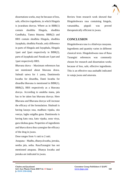

dissertations works, may be because of less, safe, effective ingedients, in which Hingula is jwarahara dravya. Where as in BBR(1) contain shoditha Hingula, shodhita Gandhaka, Tamra bhasma. BBR(2) and RRS contain shodhita Hingula, shodhita Jayaphala, shodhita Parada ,only difference in parts of Hingula and Jayaphala, Hingula 1part and 2part respectively in BBR(2), parts of Jayaphala and Parada are 3 part and 1part respectively RRS.

Bhavana drava – Maximum references has not mentioned about bhavana drava. Salmali satwa for 1 yama, Dantimoola kwatha for dinardha, Danti kwatha for dinardha bhavana is mentioned in BBR(1), BBR(2), RRS respectively as a bhavana dravya. According to anuktha mana, jala has to be taken has bhavana dravya. Here Bhavana and Bhavana dravya will increase the efficacy of the formulation. Shalmali is having kasaya rasa, madhura vipaka, sita veerya, laghu snigdha guna. Dantimoola is having katu rasa, katu vipaka, usna virya, guru tikshna guna. Properties of ingredients and bhava drava thus synergise the efficacy of the drug in jwara.

Dose ranges from  $\frac{1}{2}$  ratti to 2 ratti.

Anupana – Madhu, dhanya kwatha, jeeraka, seetha jala, setha. RasaTarangini has not mentioned anupana. Dhanya kwatha and jeeraka are indicated in jwara.

 $\mathcal{L}_\mathcal{L}$  , and the contribution of the contribution of the contribution of the contribution of the contribution of the contribution of the contribution of the contribution of the contribution of the contribution of

Review from research work showed that Hinguleshwara rasa containing hingula, vatsanabha, pippali was proved therapeutically efficient in jwara.

#### **CONCLUSION**

Hinguleshwara rasa is a khalveya rasayana. Ingredients and quantity varies in different classical texts. Hinguleshwara rasa of Rasa Tarangini references was commonly chosen for research and dissertation works because of less, safe, effective ingredients. This is an effective rasa aushadhi indicated in vataja jwara and amavata.